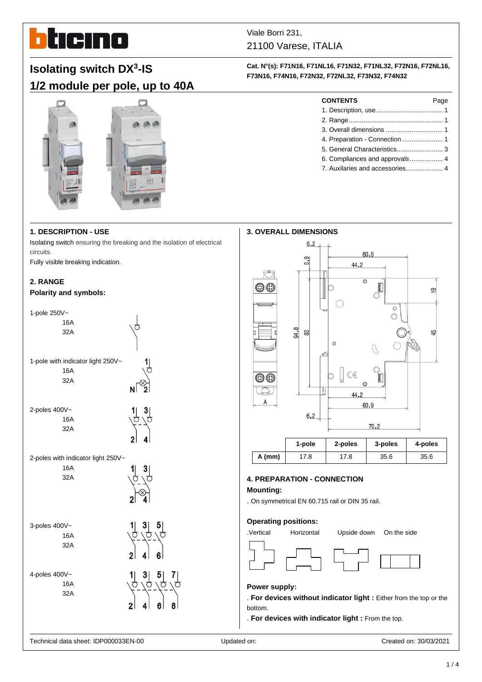

Viale Borri 231, 21100 Varese, ITALIA

**Cat. N°(s): F71N16, F71NL16, F71N32, F71NL32, F72N16, F72NL16, F73N16, F74N16, F72N32, F72NL32, F73N32, F74N32**

> **CONTENTS** Page 1. Description, use .................................... 1 2. Range................................................... 1 3. Overall dimensions ............................... 1 4. Preparation - Connection ...................... 1 5. General Characteristics......................... 3 6. Compliances and approvals.................. 4 7. Auxilaries and accessories.................... 4

# **Isolating switch DX 3 -IS 1/2 module per pole, up to 40A**



# **1. DESCRIPTION - USE**

Isolating switch ensuring the breaking and the isolation of electrical circuits.

Fully visible breaking indication.

# **2. RANGE**

#### **Polarity and symbols:**

| 1-pole 250V~                       |  |
|------------------------------------|--|
| 16A                                |  |
| 32A                                |  |
|                                    |  |
| 1-pole with indicator light 250V~  |  |
| 16A                                |  |
| 32A                                |  |
|                                    |  |
| 2-poles 400V~                      |  |
| 16A                                |  |
| 32A                                |  |
|                                    |  |
| 2-poles with indicator light 250V~ |  |
| 16A                                |  |
| 32A                                |  |
|                                    |  |
|                                    |  |
|                                    |  |
| 3-poles 400V~<br>16A               |  |
| 32A                                |  |
|                                    |  |
|                                    |  |
| 4-poles 400V~                      |  |
| 16A<br>32A                         |  |
|                                    |  |
|                                    |  |
|                                    |  |



# **4. PREPARATION - CONNECTION**

# **Mounting:**

. On symmetrical EN 60.715 rail or DIN 35 rail.

# **Operating positions:**



# **Power supply:**

. **For devices without indicator light :** Either from the top or the bottom.

. **For devices with indicator light :** From the top.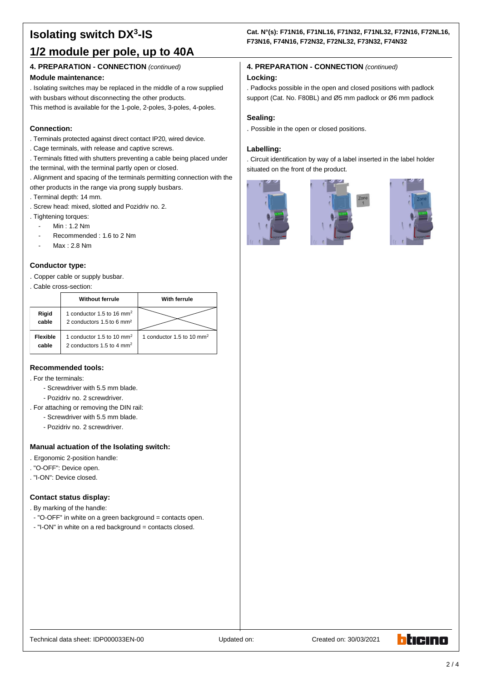# **Isolating switch DX<sup>3</sup> -IS 1/2 module per pole, up to 40A**

# **4. PREPARATION - CONNECTION** *(continued)*

### **Module maintenance:**

. Isolating switches may be replaced in the middle of a row supplied with busbars without disconnecting the other products.

This method is available for the 1-pole, 2-poles, 3-poles, 4-poles.

# **Connection:**

- . Terminals protected against direct contact IP20, wired device.
- . Cage terminals, with release and captive screws.
- . Terminals fitted with shutters preventing a cable being placed under the terminal, with the terminal partly open or closed.
- . Alignment and spacing of the terminals permitting connection with the other products in the range via prong supply busbars.
- . Terminal depth: 14 mm.
- . Screw head: mixed, slotted and Pozidriv no. 2.
- . Tightening torques:
	- Min: 1.2 Nm
	- Recommended : 1.6 to 2 Nm
	- Max: 2.8 Nm

# **Conductor type:**

. Copper cable or supply busbar.

. Cable cross-section:

|                          | <b>Without ferrule</b>                                                           | <b>With ferrule</b>                   |
|--------------------------|----------------------------------------------------------------------------------|---------------------------------------|
| Rigid<br>cable           | 1 conductor 1.5 to 16 mm <sup>2</sup><br>2 conductors 1.5 to 6 mm <sup>2</sup>   |                                       |
| <b>Flexible</b><br>cable | 1 conductor 1.5 to 10 mm <sup>2</sup><br>2 conductors $1.5$ to 4 mm <sup>2</sup> | 1 conductor 1.5 to 10 mm <sup>2</sup> |

# **Recommended tools:**

. For the terminals:

- Screwdriver with 5.5 mm blade.
- Pozidriv no. 2 screwdriver.
- . For attaching or removing the DIN rail:
	- Screwdriver with 5.5 mm blade.
	- Pozidriv no. 2 screwdriver.

# **Manual actuation of the Isolating switch:**

- . Ergonomic 2-position handle:
- . "O-OFF": Device open.
- . "I-ON": Device closed.

# **Contact status display:**

- . By marking of the handle:
- "O-OFF" in white on a green background = contacts open.
- "I-ON" in white on a red background = contacts closed.

# **Cat. N°(s): F71N16, F71NL16, F71N32, F71NL32, F72N16, F72NL16, F73N16, F74N16, F72N32, F72NL32, F73N32, F74N32**

# **4. PREPARATION - CONNECTION** *(continued)* **Locking:**

. Padlocks possible in the open and closed positions with padlock support (Cat. No. F80BL) and Ø5 mm padlock or Ø6 mm padlock

# **Sealing:**

. Possible in the open or closed positions.

# **Labelling:**

. Circuit identification by way of a label inserted in the label holder situated on the front of the product.







hticino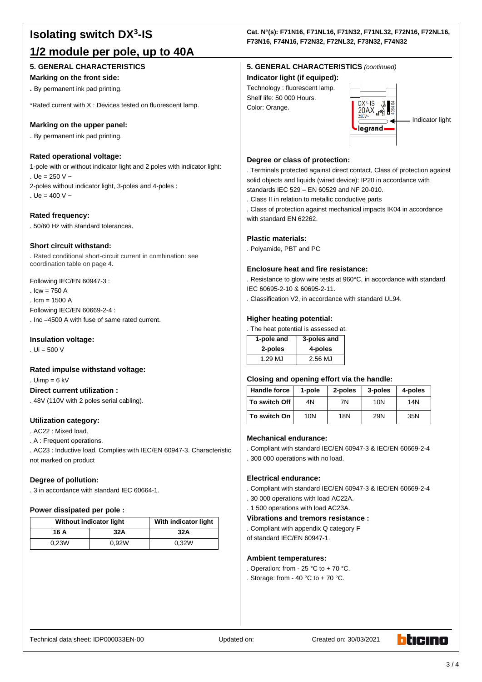# **Isolating switch DX<sup>3</sup> -IS 1/2 module per pole, up to 40A**

# **5. GENERAL CHARACTERISTICS**

#### **Marking on the front side:**

**.** By permanent ink pad printing.

\*Rated current with X : Devices tested on fluorescent lamp.

### **Marking on the upper panel:**

. By permanent ink pad printing.

#### **Rated operational voltage:**

1-pole with or without indicator light and 2 poles with indicator light: . Ue = 250 V  $\sim$ 2-poles without indicator light, 3-poles and 4-poles : . Ue =  $400 V -$ 

**Rated frequency:** . 50/60 Hz with standard tolerances.

#### **Short circuit withstand:**

. Rated conditional short-circuit current in combination: see coordination table on page 4.

Following IEC/EN 60947-3 :  $I_{\text{CW}} = 750 \text{ A}$  $lcm = 1500 A$ Following IEC/EN 60669-2-4 :

. Inc =4500 A with fuse of same rated current.

#### **Insulation voltage:**

. Ui = 500 V

#### **Rated impulse withstand voltage:**

. Uimp =  $6$  kV

#### **Direct current utilization :**

. 48V (110V with 2 poles serial cabling).

# **Utilization category:**

. AC22 : Mixed load.

. A : Frequent operations.

. AC23 : Inductive load. Complies with IEC/EN 60947-3. Characteristic not marked on product

#### **Degree of pollution:**

. 3 in accordance with standard IEC 60664-1.

#### **Power dissipated per pole :**

| <b>Without indicator light</b> |       | With indicator light |
|--------------------------------|-------|----------------------|
| 16 A                           | 32A   | 32A                  |
| 0.23W                          | 0.92W | 0.32W                |

# **Cat. N°(s): F71N16, F71NL16, F71N32, F71NL32, F72N16, F72NL16, F73N16, F74N16, F72N32, F72NL32, F73N32, F74N32**

# **5. GENERAL CHARACTERISTICS** *(continued)*

#### **Indicator light (if equiped):**

Technology : fluorescent lamp. Shelf life: 50 000 Hours. Color: Orange.



### **Degree or class of protection:**

. Terminals protected against direct contact, Class of protection against solid objects and liquids (wired device): IP20 in accordance with standards IEC 529 – EN 60529 and NF 20-010.

. Class II in relation to metallic conductive parts

. Class of protection against mechanical impacts IK04 in accordance with standard EN 62262.

#### **Plastic materials:**

. Polyamide, PBT and PC

#### **Enclosure heat and fire resistance:**

. Resistance to glow wire tests at 960°C, in accordance with standard IEC 60695-2-10 & 60695-2-11.

. Classification V2, in accordance with standard UL94.

#### **Higher heating potential:**

. The heat potential is assessed at:

| 1-pole and | 3-poles and |
|------------|-------------|
| 2-poles    | 4-poles     |
| 1.29 MJ    | 2.56 MJ     |

# **Closing and opening effort via the handle:**

| <b>Handle force</b> | 1-pole | 2-poles | 3-poles | 4-poles |
|---------------------|--------|---------|---------|---------|
| To switch Off       | 4Ν     | 7Ν      | 10N     | 14N     |
| To switch On        | 10N    | 18N     | 29N     | 35N     |

#### **Mechanical endurance:**

. Compliant with standard IEC/EN 60947-3 & IEC/EN 60669-2-4

. 300 000 operations with no load.

#### **Electrical endurance:**

- . Compliant with standard IEC/EN 60947-3 & IEC/EN 60669-2-4
- . 30 000 operations with load AC22A.
- . 1 500 operations with load AC23A.

#### **Vibrations and tremors resistance :**

- . Compliant with appendix Q category F
- of standard IEC/EN 60947-1.

#### **Ambient temperatures:**

- . Operation: from 25  $^{\circ}$ C to + 70  $^{\circ}$ C.
- . Storage: from 40 °C to + 70 °C.